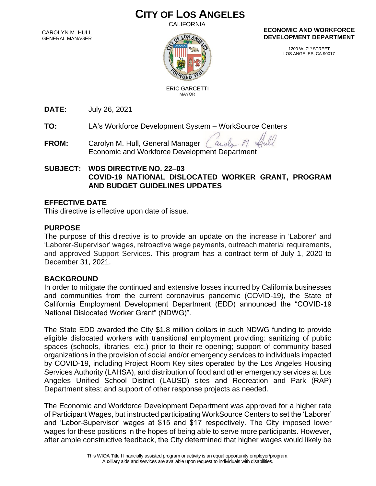# **CITY OF LOS ANGELES**

CALIFORNIA

CAROLYN M. HULL GENERAL MANAGER



#### **ECONOMIC AND WORKFORCE DEVELOPMENT DEPARTMENT**

1200 W. 7TH STREET LOS ANGELES, CA 90017

 ERIC GARCETTI MAYOR

**DATE:** July 26, 2021

**TO:** LA's Workforce Development System – WorkSource Centers

**FROM:** Carolyn M. Hull, General Manager arola Economic and Workforce Development Department

# **SUBJECT: WDS DIRECTIVE NO. 22–03 COVID-19 NATIONAL DISLOCATED WORKER GRANT, PROGRAM AND BUDGET GUIDELINES UPDATES**

# **EFFECTIVE DATE**

This directive is effective upon date of issue.

# **PURPOSE**

The purpose of this directive is to provide an update on the increase in 'Laborer' and 'Laborer-Supervisor' wages, retroactive wage payments, outreach material requirements, and approved Support Services. This program has a contract term of July 1, 2020 to December 31, 2021.

### **BACKGROUND**

In order to mitigate the continued and extensive losses incurred by California businesses and communities from the current coronavirus pandemic (COVID-19), the State of California Employment Development Department (EDD) announced the "COVID-19 National Dislocated Worker Grant" (NDWG)".

The State EDD awarded the City \$1.8 million dollars in such NDWG funding to provide eligible dislocated workers with transitional employment providing: sanitizing of public spaces (schools, libraries, etc.) prior to their re-opening; support of community-based organizations in the provision of social and/or emergency services to individuals impacted by COVID-19, including Project Room Key sites operated by the Los Angeles Housing Services Authority (LAHSA), and distribution of food and other emergency services at Los Angeles Unified School District (LAUSD) sites and Recreation and Park (RAP) Department sites; and support of other response projects as needed.

The Economic and Workforce Development Department was approved for a higher rate of Participant Wages, but instructed participating WorkSource Centers to set the 'Laborer' and 'Labor-Supervisor' wages at \$15 and \$17 respectively. The City imposed lower wages for these positions in the hopes of being able to serve more participants. However, after ample constructive feedback, the City determined that higher wages would likely be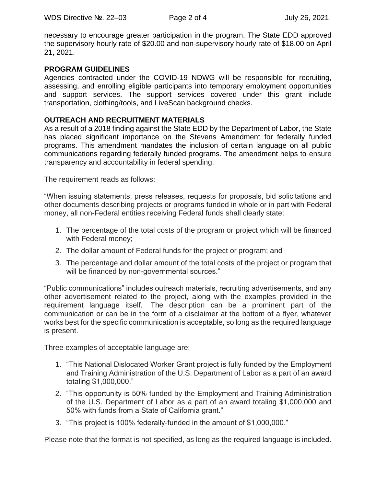necessary to encourage greater participation in the program. The State EDD approved the supervisory hourly rate of \$20.00 and non-supervisory hourly rate of \$18.00 on April 21, 2021.

#### **PROGRAM GUIDELINES**

Agencies contracted under the COVID-19 NDWG will be responsible for recruiting, assessing, and enrolling eligible participants into temporary employment opportunities and support services. The support services covered under this grant include transportation, clothing/tools, and LiveScan background checks.

#### **OUTREACH AND RECRUITMENT MATERIALS**

As a result of a 2018 finding against the State EDD by the Department of Labor, the State has placed significant importance on the Stevens Amendment for federally funded programs. This amendment mandates the inclusion of certain language on all public communications regarding federally funded programs. The amendment helps to ensure transparency and accountability in federal spending.

The requirement reads as follows:

"When issuing statements, press releases, requests for proposals, bid solicitations and other documents describing projects or programs funded in whole or in part with Federal money, all non-Federal entities receiving Federal funds shall clearly state:

- 1. The percentage of the total costs of the program or project which will be financed with Federal money;
- 2. The dollar amount of Federal funds for the project or program; and
- 3. The percentage and dollar amount of the total costs of the project or program that will be financed by non-governmental sources."

"Public communications" includes outreach materials, recruiting advertisements, and any other advertisement related to the project, along with the examples provided in the requirement language itself. The description can be a prominent part of the communication or can be in the form of a disclaimer at the bottom of a flyer, whatever works best for the specific communication is acceptable, so long as the required language is present.

Three examples of acceptable language are:

- 1. "This National Dislocated Worker Grant project is fully funded by the Employment and Training Administration of the U.S. Department of Labor as a part of an award totaling \$1,000,000."
- 2. "This opportunity is 50% funded by the Employment and Training Administration of the U.S. Department of Labor as a part of an award totaling \$1,000,000 and 50% with funds from a State of California grant."
- 3. "This project is 100% federally-funded in the amount of \$1,000,000."

Please note that the format is not specified, as long as the required language is included.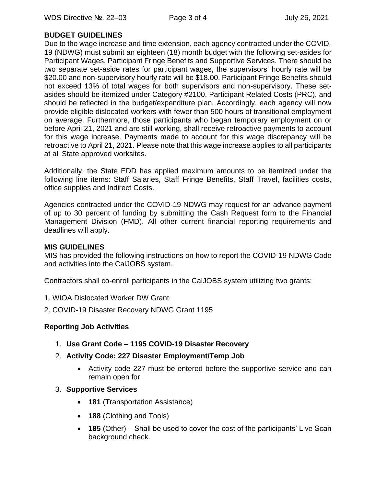# **BUDGET GUIDELINES**

Due to the wage increase and time extension, each agency contracted under the COVID-19 (NDWG) must submit an eighteen (18) month budget with the following set-asides for Participant Wages, Participant Fringe Benefits and Supportive Services. There should be two separate set-aside rates for participant wages, the supervisors' hourly rate will be \$20.00 and non-supervisory hourly rate will be \$18.00. Participant Fringe Benefits should not exceed 13% of total wages for both supervisors and non-supervisory. These setasides should be itemized under Category #2100, Participant Related Costs (PRC), and should be reflected in the budget/expenditure plan. Accordingly, each agency will now provide eligible dislocated workers with fewer than 500 hours of transitional employment on average. Furthermore, those participants who began temporary employment on or before April 21, 2021 and are still working, shall receive retroactive payments to account for this wage increase. Payments made to account for this wage discrepancy will be retroactive to April 21, 2021. Please note that this wage increase applies to all participants at all State approved worksites.

Additionally, the State EDD has applied maximum amounts to be itemized under the following line items: Staff Salaries, Staff Fringe Benefits, Staff Travel, facilities costs, office supplies and Indirect Costs.

Agencies contracted under the COVID-19 NDWG may request for an advance payment of up to 30 percent of funding by submitting the Cash Request form to the Financial Management Division (FMD). All other current financial reporting requirements and deadlines will apply.

#### **MIS GUIDELINES**

MIS has provided the following instructions on how to report the COVID-19 NDWG Code and activities into the CalJOBS system.

Contractors shall co-enroll participants in the CalJOBS system utilizing two grants:

- 1. WIOA Dislocated Worker DW Grant
- 2. COVID-19 Disaster Recovery NDWG Grant 1195

### **Reporting Job Activities**

- 1. **Use Grant Code – 1195 COVID-19 Disaster Recovery**
- 2. **Activity Code: 227 Disaster Employment/Temp Job** 
	- Activity code 227 must be entered before the supportive service and can remain open for
- 3. **Supportive Services**
	- **181** (Transportation Assistance)
	- **188** (Clothing and Tools)
	- **185** (Other) Shall be used to cover the cost of the participants' Live Scan background check.